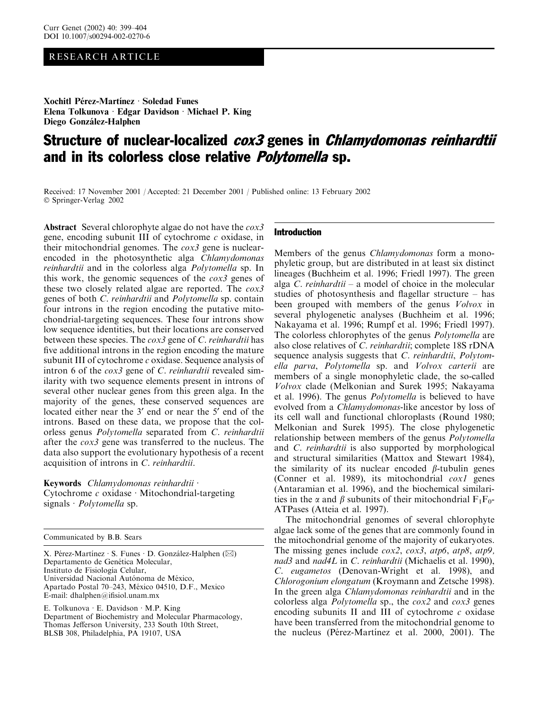# RESEARCH ARTICLE

Xochitl Pérez-Martínez · Soledad Funes Elena Tolkunova  $\cdot$  Edgar Davidson  $\cdot$  Michael P. King Diego González-Halphen

# Structure of nuclear-localized *cox3* genes in *Chlamydomonas reinhardtii* and in its colorless close relative *Polytomella* sp.

Received: 17 November 2001 / Accepted: 21 December 2001 / Published online: 13 February 2002 Springer-Verlag 2002

Abstract Several chlorophyte algae do not have the cox3 gene, encoding subunit III of cytochrome  $c$  oxidase, in their mitochondrial genomes. The  $\cos 3$  gene is nuclearencoded in the photosynthetic alga Chlamydomonas reinhardtii and in the colorless alga Polytomella sp. In this work, the genomic sequences of the  $\cos 3$  genes of these two closely related algae are reported. The cox3 genes of both C. reinhardtii and Polytomella sp. contain four introns in the region encoding the putative mitochondrial-targeting sequences. These four introns show low sequence identities, but their locations are conserved between these species. The *cox3* gene of *C*. *reinhardtii* has five additional introns in the region encoding the mature subunit III of cytochrome c oxidase. Sequence analysis of intron 6 of the *cox3* gene of *C. reinhardtii* revealed similarity with two sequence elements present in introns of several other nuclear genes from this green alga. In the majority of the genes, these conserved sequences are located either near the 3' end or near the 5' end of the introns. Based on these data, we propose that the colorless genus Polytomella separated from C. reinhardtii after the cox3 gene was transferred to the nucleus. The data also support the evolutionary hypothesis of a recent acquisition of introns in C. reinhardtii.

## Keywords Chlamydomonas reinhardtii ·

Cytochrome  $c$  oxidase  $\cdot$  Mitochondrial-targeting signals  $Polytomella$  sp.

Communicated by B.B. Sears

X. Pérez-Martínez · S. Funes · D. González-Halphen ( $\boxtimes$ ) Departamento de Genética Molecular, Instituto de Fisiología Celular, Universidad Nacional Autónoma de México, Apartado Postal 70–243, México 04510, D.F., Mexico E-mail: dhalphen@ifisiol.unam.mx

E. Tolkunova  $\cdot$  E. Davidson  $\cdot$  M.P. King Department of Biochemistry and Molecular Pharmacology, Thomas Jefferson University, 233 South 10th Street, BLSB 308, Philadelphia, PA 19107, USA

## Introduction

Members of the genus Chlamydomonas form a monophyletic group, but are distributed in at least six distinct lineages(Buchheim et al. 1996; Friedl 1997). The green alga C. reinhardtii – a model of choice in the molecular studies of photosynthesis and flagellar structure – has been grouped with members of the genus *Volvox* in several phylogenetic analyses (Buchheim et al. 1996; Nakayama et al. 1996; Rumpf et al. 1996; Friedl 1997). The colorless chlorophytes of the genus *Polytomella* are also close relatives of C. reinhardtii; complete 18S rDNA sequence analysis suggests that C. reinhardtii, Polytomella parva, Polytomella sp. and Volvox carterii are members of a single monophyletic clade, the so-called Volvox clade (Melkonian and Surek 1995; Nakayama et al. 1996). The genus *Polytomella* is believed to have evolved from a *Chlamydomonas*-like ancestor by loss of its cell wall and functional chloroplasts (Round 1980; Melkonian and Surek 1995). The close phylogenetic relationship between members of the genus Polytomella and C. reinhardtii is also supported by morphological and structural similarities (Mattox and Stewart 1984), the similarity of its nuclear encoded  $\beta$ -tubulin genes (Conner et al. 1989), its mitochondrial  $\cos l$  genes (Antaramian et al. 1996), and the biochemical similarities in the  $\alpha$  and  $\beta$  subunits of their mitochondrial  $F_1F_0$ -ATPases (Atteia et al. 1997).

The mitochondrial genomes of several chlorophyte algae lack some of the genes that are commonly found in the mitochondrial genome of the majority of eukaryotes. The missing genes include *cox2*, *cox3*, *atp6*, *atp8*, *atp9*, nad3 and nad4L in C. reinhardtii (Michaelis et al. 1990), C. eugametos (Denovan-Wright et al. 1998), and Chlorogonium elongatum (Kroymann and Zetsche 1998). In the green alga Chlamydomonas reinhardtii and in the colorless alga Polytomella sp., the cox2 and cox3 genes encoding subunits II and III of cytochrome  $c$  oxidase have been transferred from the mitochondrial genome to the nucleus (Pérez-Martínez et al. 2000, 2001). The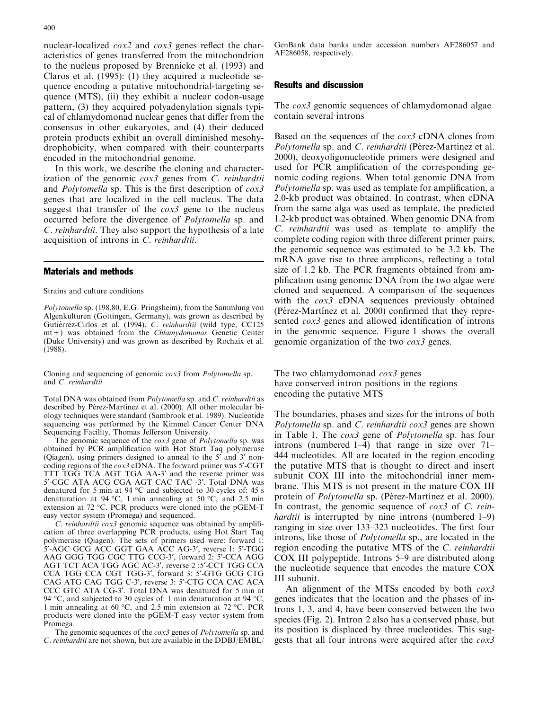nuclear-localized  $\cos 2$  and  $\cos 3$  genes reflect the characteristics of genes transferred from the mitochondrion to the nucleus proposed by Brennicke et al. (1993) and Claros et al.  $(1995)$ :  $(1)$  they acquired a nucleotide sequence encoding a putative mitochondrial-targeting sequence (MTS), (ii) they exhibit a nuclear codon-usage pattern, (3) they acquired polyadenylation signals typical of chlamydomonad nuclear genesthat differ from the consensus in other eukaryotes, and (4) their deduced protein products exhibit an overall diminished mesohydrophobicity, when compared with their counterparts encoded in the mitochondrial genome.

In thiswork, we describe the cloning and characterization of the genomic  $\cos 3$  genes from C. reinhardtii and Polytomella sp. This is the first description of cox3 genes that are localized in the cell nucleus. The data suggest that transfer of the *cox3* gene to the nucleus occurred before the divergence of Polytomella sp. and C. reinhardtii. They also support the hypothesis of a late acquisition of introns in C. reinhardtii.

### Materials and methods

Strains and culture conditions

Polytomella sp. (198.80, E.G. Pringsheim), from the Sammlung von Algenkulturen (Gottingen, Germany), was grown as described by Gutiérrez-Cirlos et al. (1994). C. reinhardtii (wild type, CC125  $mt+$ ) was obtained from the Chlamydomonas Genetic Center (Duke University) and was grown as described by Rochaix et al. (1988).

Cloning and sequencing of genomic cox3 from Polytomella sp. and C. reinhardtii

Total DNA was obtained from Polytomella sp. and C. reinhardtii as described by Pérez-Martínez et al. (2000). All other molecular biology techniqueswere standard (Sambrook et al. 1989). Nucleotide sequencing was performed by the Kimmel Cancer Center DNA Sequencing Facility, Thomas Jefferson University.

The genomic sequence of the cox3 gene of Polytomella sp. was obtained by PCR amplification with Hot Start Taq polymerase (Qiagen), using primers designed to anneal to the  $5'$  and  $3'$  noncoding regions of the  $\cos 3$  cDNA. The forward primer was 5<sup> $\degree$ </sup>-CGT TTT TGG TCA AGT TGA AA-3' and the reverse primer was 5'-CGC ATA ACG CGA AGT CAC TAC -3'. Total DNA was denatured for 5 min at 94  $^{\circ}$ C and subjected to 30 cycles of: 45 s denaturation at 94 °C, 1 min annealing at 50 °C, and 2.5 min extension at 72 °C. PCR products were cloned into the pGEM-T easy vector system (Promega) and sequenced.

C. reinhardtii cox3 genomic sequence was obtained by amplification of three overlapping PCR products, using Hot Start Taq polymerase (Qiagen). The sets of primers used were: forward 1: 5'-AGC GCG ACC GGT GAA ACC AG-3', reverse 1: 5'-TGG AAG GGG TGG CGC TTG CCG-3', forward 2: 5'-CCA AGG AGT TCT ACA TGG AGC AC-3', reverse 2 :5'-CCT TGG CCA CCA TGG CCA CGT TGG-3', forward 3: 5'-GTG GCG CTG CAG ATG CAG TGG C-3', reverse 3: 5'-CTG CCA CAC ACA CCC GTC ATA CG-3'. Total DNA was denatured for 5 min at 94 °C, and subjected to 30 cycles of: 1 min denaturation at 94 °C, 1 min annealing at 60 °C, and 2.5 min extension at 72 °C. PCR products were cloned into the pGEM-T easy vector system from Promega.

The genomic sequences of the *cox3* genes of *Polytomella* sp. and C. reinhardtii are not shown, but are available in the DDBJ/EMBL/

GenBank data banks under accession numbers AF286057 and AF286058, respectively.

#### Results and discussion

The *cox3* genomic sequences of chlamydomonad algae contain several introns

Based on the sequences of the  $\cos 3$  cDNA clones from Polytomella sp. and C. reinhardtii (Pérez-Martínez et al. 2000), deoxyoligonucleotide primers were designed and used for PCR amplification of the corresponding genomic coding regions. When total genomic DNA from Polytomella sp. was used as template for amplification, a 2.0-kb product was obtained. In contrast, when cDNA from the same alga was used as template, the predicted 1.2-kb product was obtained. When genomic DNA from  $C.$  reinhardtii was used as template to amplify the complete coding region with three different primer pairs, the genomic sequence was estimated to be 3.2 kb. The mRNA gave rise to three amplicons, reflecting a total size of 1.2 kb. The PCR fragments obtained from amplification using genomic DNA from the two algae were cloned and sequenced. A comparison of the sequences with the cox3 cDNA sequences previously obtained (Pérez-Martínez et al. 2000) confirmed that they represented *cox3* genes and allowed identification of introns in the genomic sequence. Figure 1 shows the overall genomic organization of the two cox3 genes.

The two chlamydomonad *cox3* genes have conserved intron positions in the regions encoding the putative MTS

The boundaries, phases and sizes for the introns of both Polytomella sp. and C. reinhardtii  $\cos 3$  genes are shown in Table 1. The cox3 gene of Polytomella sp. has four introns (numbered  $1-4$ ) that range in size over  $71-$ 444 nucleotides. All are located in the region encoding the putative MTS that is thought to direct and insert subunit COX III into the mitochondrial inner membrane. This MTS is not present in the mature COX III protein of *Polytomella* sp. (Pérez-Martínez et al. 2000). In contrast, the genomic sequence of *cox3* of *C. reinhardtii* is interrupted by nine introns (numbered  $1-9$ ) ranging in size over 133–323 nucleotides. The first four introns, like those of *Polytomella* sp., are located in the region encoding the putative MTS of the C. reinhardtii COX III polypeptide. Introns5–9 are distributed along the nucleotide sequence that encodes the mature COX III subunit.

An alignment of the MTSs encoded by both  $\cos 3$ genes indicates that the location and the phases of introns1, 3, and 4, have been conserved between the two species (Fig. 2). Intron 2 also has a conserved phase, but its position is displaced by three nucleotides. This suggests that all four introns were acquired after the cox3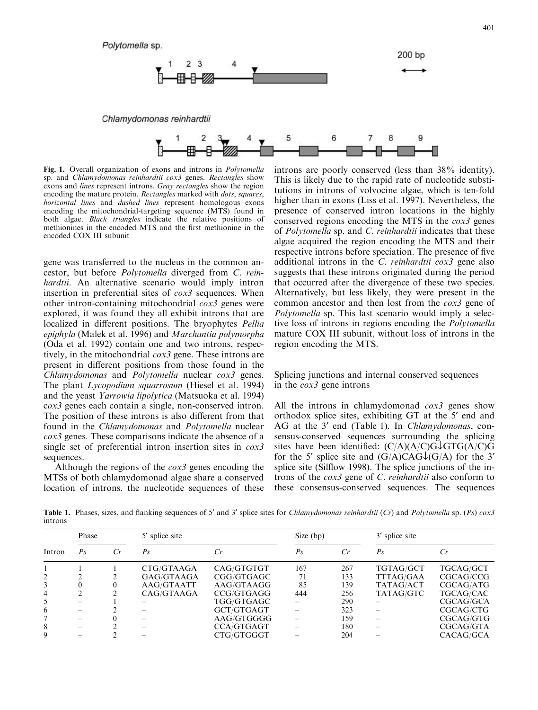

Chlamydomonas reinhardtii



Fig. 1. Overall organization of exons and introns in *Polytomella* sp. and Chlamydomonas reinhardtii cox3 genes. Rectangles show exons and lines represent introns. Gray rectangles show the region encoding the mature protein. Rectangles marked with dots, squares, horizontal lines and dashed lines represent homologous exons encoding the mitochondrial-targeting sequence (MTS) found in both algae. Black triangles indicate the relative positions of methionines in the encoded MTS and the first methionine in the encoded COX III subunit

gene was transferred to the nucleus in the common ancestor, but before Polytomella diverged from C. reinhardtii. An alternative scenario would imply intron insertion in preferential sites of cox3 sequences. When other intron-containing mitochondrial  $\cos 3$  genes were explored, it was found they all exhibit introns that are localized in different positions. The bryophytes *Pellia* epiphyla (Malek et al. 1996) and Marchantia polymorpha (Oda et al. 1992) contain one and two introns, respectively, in the mitochondrial cox3 gene. These introns are present in different positions from those found in the Chlamydomonas and Polytomella nuclear cox3 genes. The plant *Lycopodium squarrosum* (Hiesel et al. 1994) and the yeast Yarrowia lipolytica (Matsuoka et al. 1994) cox3 genes each contain a single, non-conserved intron. The position of these introns is also different from that found in the Chlamydomonas and Polytomella nuclear cox3 genes. These comparisons indicate the absence of a single set of preferential intron insertion sites in cox3 sequences.

Although the regions of the  $\cos 3$  genes encoding the MTSs of both chlamydomonad algae share a conserved location of introns, the nucleotide sequences of these introns are poorly conserved (less than 38% identity). This is likely due to the rapid rate of nucleotide substitutions in introns of volvocine algae, which is ten-fold higher than in exons (Liss et al. 1997). Nevertheless, the presence of conserved intron locations in the highly conserved regions encoding the MTS in the cox3 genes of *Polytomella* sp. and *C. reinhardtii* indicates that these algae acquired the region encoding the MTS and their respective introns before speciation. The presence of five additional introns in the C. reinhardtii  $\cos 3$  gene also suggests that these introns originated during the period that occurred after the divergence of these two species. Alternatively, but less likely, they were present in the common ancestor and then lost from the cox3 gene of Polytomella sp. This last scenario would imply a selective loss of introns in regions encoding the Polytomella mature COX III subunit, without loss of introns in the region encoding the MTS.

# Splicing junctions and internal conserved sequences in the cox3 gene introns

All the introns in chlamydomonad  $\cos 3$  genes show orthodox splice sites, exhibiting GT at the 5<sup>'</sup> end and AG at the 3' end (Table 1). In Chlamydomonas, consensus-conserved sequences surrounding the splicing sites have been identified:  $(C/A)(A/C)G\downarrow GTG(A/C)G$ for the 5' splice site and  $(G/A)CAG\downarrow (G/A)$  for the 3' splice site (Silflow 1998). The splice junctions of the introns of the cox3 gene of C. reinhardtii also conform to these consensus-conserved sequences. The sequences

Table 1. Phases, sizes, and flanking sequences of 5' and 3' splice sites for Chlamydomonas reinhardtii (Cr) and Polytomella sp. (Ps) cox3 introns

| Intron | Phase   |    | 5' splice site |                   | Size $(bp)$ |     | 3' splice site   |           |
|--------|---------|----|----------------|-------------------|-------------|-----|------------------|-----------|
|        | $P_{S}$ | Cr | $P_{S}$        |                   | $P_{S}$     | Cr  | $P_{S}$          | Cr        |
|        |         |    | CTG/GTAAGA     | CAG/GTGTGT        | 167         | 267 | TGTAG/GCT        | TGCAG/GCT |
|        |         |    | GAG/GTAAGA     | CGG/GTGAGC        | 71          | 133 | <b>TTTAG/GAA</b> | CGCAG/CCG |
| 3      |         |    | AAG/GTAATT     | AAG/GTAAGG        | 85          | 139 | TATAG/ACT        | CGCAG/ATG |
| 4      |         |    | CAG/GTAAGA     | CCG/GTGAGG        | 444         | 256 | TATAG/GTC        | TGCAG/CAC |
|        |         |    |                | TGG/GTGAGC        |             | 290 |                  | CGCAG/GCA |
| 6      |         |    |                | GCT/GTGAGT        |             | 323 |                  | CGCAG/CTG |
|        |         |    |                | AAG/GTGGGG        |             | 159 |                  | CGCAG/GTG |
| 8      |         |    |                | <b>CCA/GTGAGT</b> |             | 180 |                  | CGCAG/GTA |
| 9      |         |    |                | CTG/GTGGGT        |             | 204 |                  | CACAG/GCA |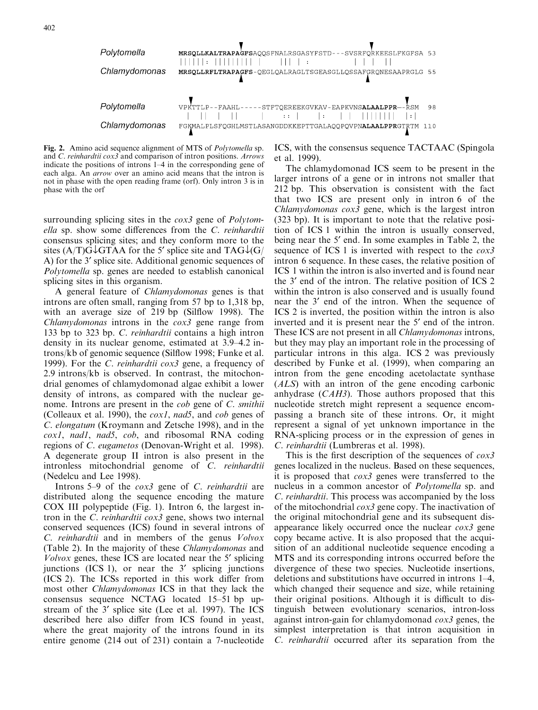

Fig. 2. Amino acid sequence alignment of MTS of Polytomella sp. and C. reinhardtii cox3 and comparison of intron positions. Arrows indicate the positions of introns 1–4 in the corresponding gene of each alga. An *arrow* over an amino acid means that the intron is not in phase with the open reading frame (orf). Only intron 3 is in phase with the orf

surrounding splicing sites in the *cox3* gene of *Polytom*ella sp. show some differences from the C. reinhardtii consensus splicing sites; and they conform more to the sites (A/T)G $\downarrow$ GTAA for the 5' splice site and TAG $\downarrow$ (G/ A) for the 3' splice site. Additional genomic sequences of Polytomella sp. genes are needed to establish canonical splicing sites in this organism.

A general feature of Chlamydomonas genes is that introns are often small, ranging from 57 bp to 1,318 bp, with an average size of 219 bp (Silflow 1998). The  $Chlamydomonas$  introns in the  $cox3$  gene range from 133 bp to 323 bp. C. reinhardtii contains a high intron density in its nuclear genome, estimated at 3.9–4.2 introns/kb of genomic sequence (Silflow 1998; Funke et al. 1999). For the C. reinhardtii cox3 gene, a frequency of 2.9 introns/kb is observed. In contrast, the mitochondrial genomes of chlamydomonad algae exhibit a lower density of introns, as compared with the nuclear genome. Introns are present in the *cob* gene of *C*. *smithii* (Colleaux et al. 1990), the  $\cos 1$ , nad5, and  $\cos$  genes of C. elongatum (Kroymann and Zetsche 1998), and in the cox1, nad1, nad5, cob, and ribosomal RNA coding regions of *C. eugametos* (Denovan-Wright et al. 1998). A degenerate group II intron is also present in the intronless mitochondrial genome of C. reinhardtii (Nedelcu and Lee 1998).

Introns 5–9 of the cox3 gene of C. reinhardtii are distributed along the sequence encoding the mature COX III polypeptide (Fig. 1). Intron 6, the largest intron in the C. reinhardtii cox3 gene, shows two internal conserved sequences (ICS) found in several introns of  $C.$  reinhardtii and in members of the genus  $Volvox$ (Table 2). In the majority of these Chlamydomonas and  $Volvox$  genes, these ICS are located near the 5 $^{\prime}$  splicing junctions (ICS 1), or near the  $3'$  splicing junctions  $(ICS 2)$ . The ICSs reported in this work differ from most other Chlamydomonas ICS in that they lack the consensus sequence NCTAG located 15–51 bp upstream of the 3' splice site (Lee et al. 1997). The ICS described here also differ from ICS found in yeast, where the great majority of the introns found in its entire genome (214 out of 231) contain a 7-nucleotide ICS, with the consensus sequence TACTAAC (Spingola et al. 1999).

The chlamydomonad ICS seem to be present in the larger introns of a gene or in introns not smaller that 212 bp. This observation is consistent with the fact that two ICS are present only in intron 6 of the  $Chlamydomonas \cos 3$  gene, which is the largest intron (323 bp). It isimportant to note that the relative position of ICS 1 within the intron is usually conserved, being near the 5' end. In some examples in Table 2, the sequence of ICS 1 is inverted with respect to the cox3 intron 6 sequence. In these cases, the relative position of ICS 1 within the intron is also inverted and is found near the 3' end of the intron. The relative position of ICS 2 within the intron is also conserved and is usually found near the 3' end of the intron. When the sequence of ICS 2 is inverted, the position within the intron is also inverted and it is present near the 5' end of the intron. These ICS are not present in all *Chlamydomonas* introns, but they may play an important role in the processing of particular introns in this alga. ICS 2 was previously described by Funke et al. (1999), when comparing an intron from the gene encoding acetolactate synthase (ALS) with an intron of the gene encoding carbonic anhydrase  $(CAH3)$ . Those authors proposed that this nucleotide stretch might represent a sequence encompassing a branch site of these introns. Or, it might represent a signal of yet unknown importance in the RNA-splicing process or in the expression of genes in C. reinhardtii (Lumbreras et al. 1998).

This is the first description of the sequences of cox3 genes localized in the nucleus. Based on these sequences, it is proposed that  $\cos 3$  genes were transferred to the nucleus in a common ancestor of *Polytomella* sp. and C. reinhardtii. This process was accompanied by the loss of the mitochondrial cox3 gene copy. The inactivation of the original mitochondrial gene and its subsequent disappearance likely occurred once the nuclear cox3 gene copy became active. It is also proposed that the acquisition of an additional nucleotide sequence encoding a MTS and its corresponding introns occurred before the divergence of these two species. Nucleotide insertions, deletions and substitutions have occurred in introns  $1-4$ , which changed their sequence and size, while retaining their original positions. Although it is difficult to distinguish between evolutionary scenarios, intron-loss against intron-gain for chlamydomonad cox3 genes, the simplest interpretation is that intron acquisition in  $C.$  reinhardtii occurred after its separation from the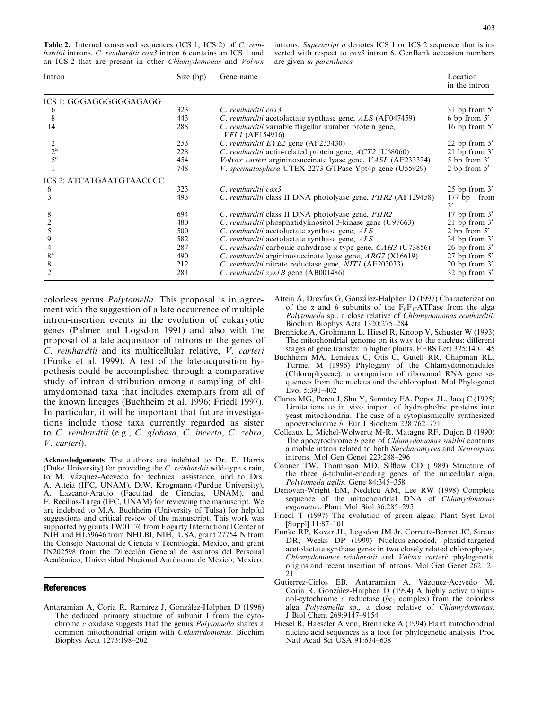Table 2. Internal conserved sequences (ICS 1, ICS 2) of C. reinhardtii introns. C. reinhardtii cox3 intron 6 contains an ICS 1 and an ICS 2 that are present in other Chlamydomonas and Volvox

introns. Superscript a denotes ICS 1 or ICS 2 sequence that is inverted with respect to  $\cos 3$  intron 6. GenBank accession numbers are given in parentheses

| Size (bp) | Gene name                                                                          | Location<br>in the intron                                |
|-----------|------------------------------------------------------------------------------------|----------------------------------------------------------|
|           |                                                                                    |                                                          |
| 323       | C. reinhardtii cox3                                                                | $31$ bp from $5'$                                        |
| 443       | C. reinhardtii acetolactate synthase gene, ALS (AF047459)                          | 6 bp from $5'$                                           |
| 288       | C. reinhardtii variable flagellar number protein gene,<br><i>VFL1</i> (AF154916)   | 16 bp from 5'                                            |
| 253       | C. reinhardtii EYE2 gene (AF233430)                                                | 22 bp from $5'$                                          |
| 228       |                                                                                    | 21 bp from 3'                                            |
| 454       | <i>Volvox carteri</i> argininosuccinate lyase gene, <i>VASL</i> (AF233374)         | 5 bp from 3'                                             |
| 748       | V. spermatosphera UTEX 2273 GTPase Ypt4p gene (U55929)                             | 2 bp from $5'$                                           |
|           |                                                                                    |                                                          |
| 323       | C. reinhardtii cox3                                                                | $25$ bp from $3'$                                        |
| 493       | C. reinhardtii class II DNA photolyase gene, <i>PHR2</i> (AF129458)                | 177 bp from<br>3'                                        |
| 694       | C. reinhardtii class II DNA photolyase gene, PHR2                                  | $17$ bp from $3'$                                        |
| 480       | C. reinhardtii phosphatidylinositol 3-kinase gene (U97663)                         | 21 bp from $3'$                                          |
| 500       | C. reinhardtii acetolactate synthase gene, ALS                                     | 2 bp from $5'$                                           |
| 582       | C. reinhardtii acetolactate synthase gene, ALS                                     | $34$ bp from $3'$                                        |
| 287       | <i>C. reinhardtii</i> carbonic anhydrase $\alpha$ -type gene, <i>CAH3</i> (U73856) | $26$ bp from $3'$                                        |
| 490       | <i>C. reinhardtii</i> argininosuccinate lyase gene, $ARG7$ (X16619)                | 27 bp from 5'                                            |
| 212       | C. reinhardtii nitrate reductase gene, NIT1 (AF203033)                             | 20 bp from 3'                                            |
| 281       | C. reinhardtii $zvsIB$ gene (AB001486)                                             | $32$ bp from $3'$                                        |
|           |                                                                                    | C. reinhardtii actin-related protein gene, ACT2 (U68060) |

colorless genus *Polytomella*. This proposal is in agreement with the suggestion of a late occurrence of multiple intron-insertion events in the evolution of eukaryotic genes (Palmer and Logsdon 1991) and also with the proposal of a late acquisition of introns in the genes of C. reinhardtii and its multicellular relative, V. carteri (Funke et al. 1999). A test of the late-acquisition hypothesis could be accomplished through a comparative study of intron distribution among a sampling of chlamydomonad taxa that includes exemplars from all of the known lineages(Buchheim et al. 1996; Friedl 1997). In particular, it will be important that future investigations include those taxa currently regarded as sister to C. reinhardtii (e.g., C. globosa, C. incerta, C. zebra, V. carteri).

Acknowledgements The authors are indebted to Dr. E. Harris (Duke University) for providing the C. reinhardtii wild-type strain, to M. Vázquez-Acevedo for technical assistance, and to Drs. A. Atteia (IFC, UNAM), D.W. Krogmann (Purdue University), A. Lazcano-Araujo (Facultad de Ciencias, UNAM), and F. Recillas-Targa (IFC, UNAM) for reviewing the manuscript. We are indebted to M.A. Buchheim (University of Tulsa) for helpful suggestions and critical review of the manuscript. This work was supported by grants TW01176 from Fogarty International Center at NIH and HL59646 from NHLBI, NIH, USA, grant 27754 N from the Consejo Nacional de Ciencia y Tecnología, Mexico, and grant IN202598 from the Dirección General de Asuntos del Personal Académico, Universidad Nacional Autónoma de México, Mexico.

#### **References**

Antaramian A, Coria R, Ramírez J, González-Halphen D (1996) The deduced primary structure of subunit I from the cytochrome c oxidase suggests that the genus Polytomella shares a common mitochondrial origin with Chlamydomonas. Biochim BiophysActa 1273:198–202

- Atteia A, Dreyfus G, González-Halphen D (1997) Characterization of the  $\alpha$  and  $\beta$  subunits of the F<sub>0</sub>F<sub>1</sub>-ATPase from the alga Polytomella sp., a close relative of Chlamydomonas reinhardtii. Biochim Biophys Acta 1320:275–284
- Brennicke A, Grohmann L, Hiesel R, Knoop V, Schuster W (1993) The mitochondrial genome on itsway to the nucleus: different stages of gene transfer in higher plants. FEBS Lett 325:140–145
- Buchheim MA, Lemieux C, Otis C, Gutell RR, Chapman RL, Turmel M (1996) Phylogeny of the Chlamydomonadales (Chlorophyceae): a comparison of ribosomal RNA gene sequences from the nucleus and the chloroplast. Mol Phylogenet Evol 5:391–402
- ClarosMG, Perea J, Shu Y, Samatey FA, Popot JL, Jacq C (1995) Limitations to in vivo import of hydrophobic proteins into yeast mitochondria. The case of a cytoplasmically synthesized apocytochrome b. Eur J Biochem 228:762–771
- Colleaux L, Michel-Wolwertz M-R, Matagne RF, Dujon B (1990) The apocytochrome *b* gene of *Chlamydomonas smithii* contains a mobile intron related to both Saccharomyces and Neurospora introns. Mol Gen Genet 223:288–296
- Conner TW, Thompson MD, Silflow CD (1989) Structure of the three  $\beta$ -tubulin-encoding genes of the unicellular alga, Polytomella agilis. Gene 84:345–358
- Denovan-Wright EM, Nedelcu AM, Lee RW (1998) Complete sequence of the mitochondrial DNA of *Chlamydomonas* eugametos. Plant Mol Biol 36:285–295
- Friedl T (1997) The evolution of green algae. Plant Syst Evol [Suppl] 11:87–101
- Funke RP, Kovar JL, Logsdon JM Jr, Corrette-Bennet JC, Straus DR, Weeks DP (1999) Nucleus-encoded, plastid-targeted acetolactate synthase genes in two closely related chlorophytes, Chlamydomonas reinhardtii and Volvox carteri: phylogenetic origins and recent insertion of introns. Mol Gen Genet 262:12–  $21$
- Gutiérrez-Cirlos EB, Antaramian A, Vázquez-Acevedo M, Coria R, González-Halphen D (1994) A highly active ubiquinol-cytochrome c reductase ( $bc_1$  complex) from the colorless alga Polytomella sp., a close relative of Chlamydomonas. J Biol Chem 269:9147–9154
- Hiesel R, Haeseler A von, Brennicke A (1994) Plant mitochondrial nucleic acid sequences as a tool for phylogenetic analysis. Proc Natl Acad Sci USA 91:634–638